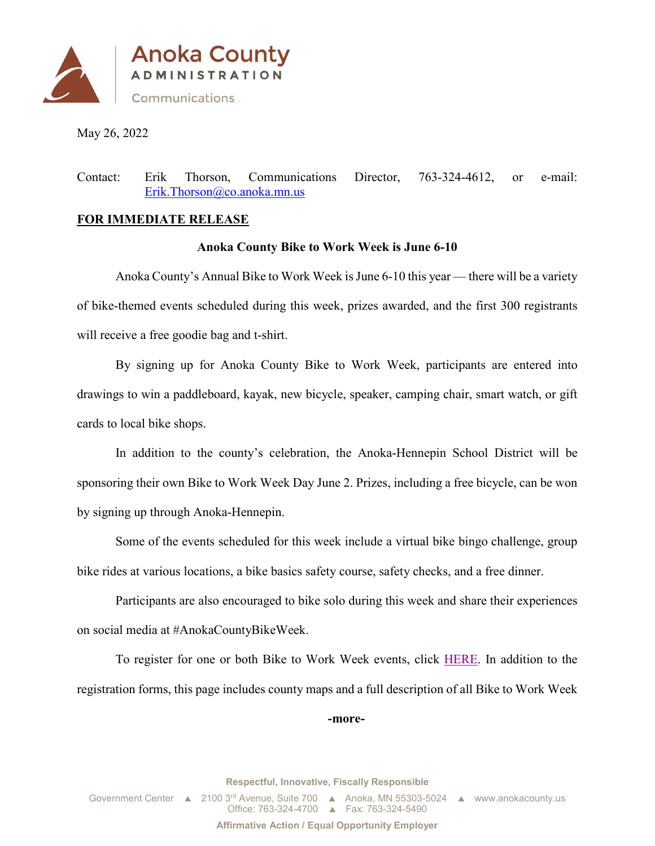

May 26, 2022

Contact: Erik Thorson, Communications Director, 763-324-4612, or e-mail: [Erik.Thorson@co.anoka.mn.us](mailto:Erik.Thorson@co.anoka.mn.us)

## **FOR IMMEDIATE RELEASE**

## **Anoka County Bike to Work Week is June 6-10**

Anoka County's Annual Bike to Work Week is June 6-10 this year — there will be a variety of bike-themed events scheduled during this week, prizes awarded, and the first 300 registrants will receive a free goodie bag and t-shirt.

By signing up for Anoka County Bike to Work Week, participants are entered into drawings to win a paddleboard, kayak, new bicycle, speaker, camping chair, smart watch, or gift cards to local bike shops.

In addition to the county's celebration, the Anoka-Hennepin School District will be sponsoring their own Bike to Work Week Day June 2. Prizes, including a free bicycle, can be won by signing up through Anoka-Hennepin.

Some of the events scheduled for this week include a virtual bike bingo challenge, group bike rides at various locations, a bike basics safety course, safety checks, and a free dinner.

Participants are also encouraged to bike solo during this week and share their experiences on social media at #AnokaCountyBikeWeek.

To register for one or both Bike to Work Week events, click [HERE.](https://www.anokacounty.us/1530/Bike-to-Work-Week-2022) In addition to the registration forms, this page includes county maps and a full description of all Bike to Work Week

**-more-**

**Respectful, Innovative, Fiscally Responsible**

Government Center ▲ 2100 3<sup>rd</sup> Avenue, Suite 700 ▲ Anoka, MN 55303-5024 ▲ www.anokacounty.us Office: 763-324-4700 ▲ Fax: 763-324-5490

**Affirmative Action / Equal Opportunity Employer**